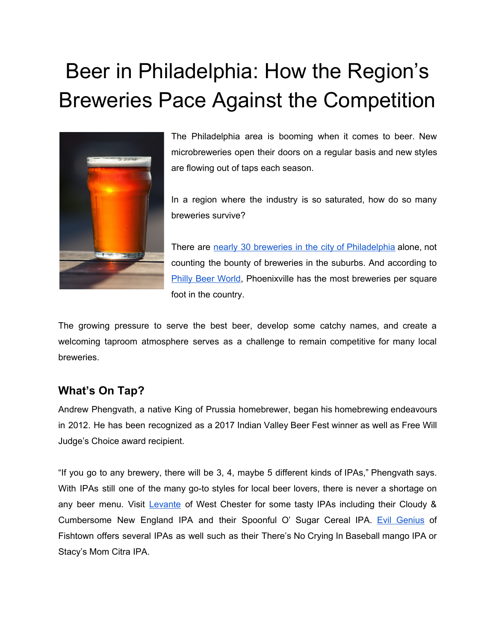## Beer in Philadelphia: How the Region's Breweries Pace Against the Competition



The Philadelphia area is booming when it comes to beer. New microbreweries open their doors on a regular basis and new styles are flowing out of taps each season.

In a region where the industry is so saturated, how do so many breweries survive?

There are nearly 30 breweries in the city of [Philadelphia](https://www.google.com/maps/d/u/0/viewer?mid=1LRh2zNn7EYiNGPp0hcK5iqGi3Xw&ll=39.96055668592961%2C-75.15805073747572&z=13&fbclid=IwAR2kmqARsCPcLDtJJC2BQ3Rrqp9bw29zQJG_V7_a6q0xDthwzHzt16vTYlk) alone, not counting the bounty of breweries in the suburbs. And according to Philly Beer [World](https://www.phillybeerworld.com/column/downtown-phoenixville-more-breweries-than-anywhere/), Phoenixville has the most breweries per square foot in the country.

The growing pressure to serve the best beer, develop some catchy names, and create a welcoming taproom atmosphere serves as a challenge to remain competitive for many local breweries.

## **What's On Tap?**

Andrew Phengvath, a native King of Prussia homebrewer, began his homebrewing endeavours in 2012. He has been recognized as a 2017 Indian Valley Beer Fest winner as well as Free Will Judge's Choice award recipient.

"If you go to any brewery, there will be 3, 4, maybe 5 different kinds of IPAs," Phengvath says. With IPAs still one of the many go-to styles for local beer lovers, there is never a shortage on any beer menu. Visit [Levante](https://www.levantebrewing.com/) of West Chester for some tasty IPAs including their Cloudy & Cumbersome New England IPA and their Spoonful O' Sugar Cereal IPA. Evil [Genius](http://evilgeniusbeer.com/) of Fishtown offers several IPAs as well such as their There's No Crying In Baseball mango IPA or Stacy's Mom Citra IPA.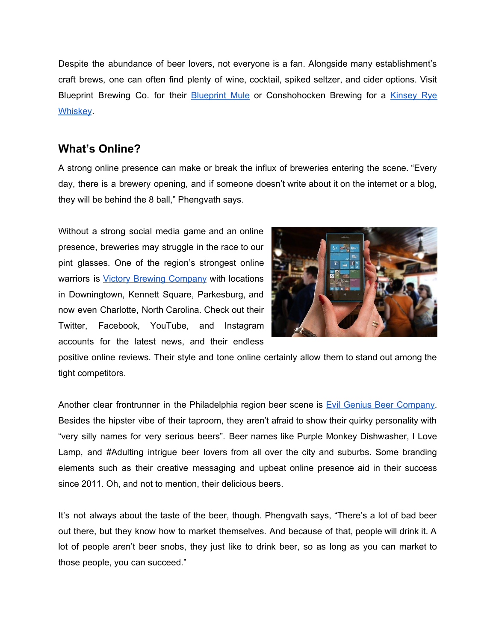Despite the abundance of beer lovers, not everyone is a fan. Alongside many establishment's craft brews, one can often find plenty of wine, cocktail, spiked seltzer, and cider options. Visit Blueprint Brewing Co. for their [Blueprint](http://blueprintbrew.com/our-tap-room/) Mule or Conshohocken Brewing for a [Kinsey](http://www.conshohockenbrewing.com/tt-liquor-menu) Rye [Whiskey](http://www.conshohockenbrewing.com/tt-liquor-menu).

## **What's Online?**

A strong online presence can make or break the influx of breweries entering the scene. "Every day, there is a brewery opening, and if someone doesn't write about it on the internet or a blog, they will be behind the 8 ball," Phengvath says.

Without a strong social media game and an online presence, breweries may struggle in the race to our pint glasses. One of the region's strongest online warriors is **Victory Brewing [Company](https://victorybeer.com/)** with locations in Downingtown, Kennett Square, Parkesburg, and now even Charlotte, North Carolina. Check out their Twitter, Facebook, YouTube, and Instagram accounts for the latest news, and their endless



positive online reviews. Their style and tone online certainly allow them to stand out among the tight competitors.

Another clear frontrunner in the Philadelphia region beer scene is **Evil Genius Beer Company**. Besides the hipster vibe of their taproom, they aren't afraid to show their quirky personality with "very silly names for very serious beers". Beer names like Purple Monkey Dishwasher, I Love Lamp, and #Adulting intrigue beer lovers from all over the city and suburbs. Some branding elements such as their creative messaging and upbeat online presence aid in their success since 2011. Oh, and not to mention, their delicious beers.

It's not always about the taste of the beer, though. Phengvath says, "There's a lot of bad beer out there, but they know how to market themselves. And because of that, people will drink it. A lot of people aren't beer snobs, they just like to drink beer, so as long as you can market to those people, you can succeed."